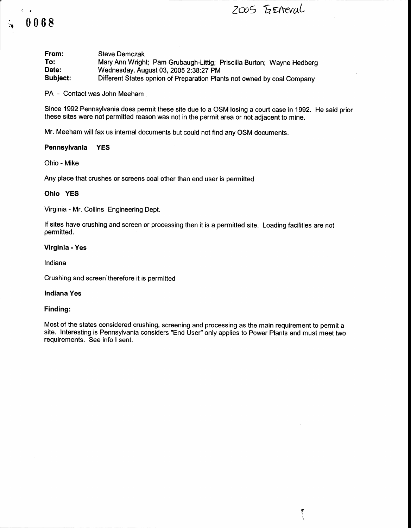Zu5 EwrrvuL

0068

 $\ddot{}$ 

 $\mathcal{E} = \mathcal{E}$ 

Steve Demczak Mary Ann Wright; Pam Grubaugh-Littig; Priscilla Burton; Wayne Hedberg Wednesday, August 03, 2005 2:38:27 PM Different States opnion of Preparation Plants not owned by coal Company From: To: Date: Subject:

PA - Contact was John Meeham

Since 1992 Pennsylvania does permit these site due to a OSM losing a court case in 1992. He said prior these sites were not permitted reason was not in the permit area or not adjacent to mine.

Mr. Meeham will fax us internal documents but could not find any OSM documents.

## Pennsylvania YES

Ohio - Mike

Any place that crushes or screens coal other than end user is permitted

#### Ohio YES

Virginia - Mr. Collins Engineering Dept.

lf sites have crushing and screen or processing then it is a permitted site. Loading facilities are not permitted.

### Virginia - Yes

Indiana

Crushing and screen therefore it is permitted

## Indiana Yes

#### Finding:

Most of the states considered crushing, screening and processing as the main requirement to permit a site. Interesting is Pennsylvania considers "End User" only applies to Power Plants and must meet two requirements. See info I sent.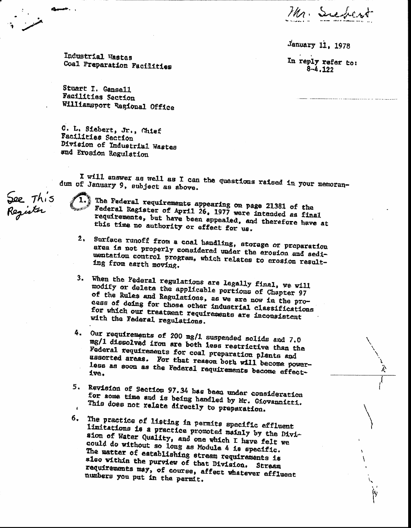Mr. Subcrot

January 11, 1978

In reply refer to:  $8 - 4.122$ 

Industrial Wastes Coal Preparation Facilities

Stuart I. Gansell **Facilities Section** Williamsport Regional Office

C. L. Siebert, Jr., Chief Facilities Saction Division of Industrial Wastes and Erosion Regulation

I will answer as well as I can the questions raised in your memorandum of January 9, subject as above.

See This<br>Register

The Federal requirements appearing on page 21381 of the Federal Register of April 26, 1977 were intended as final requirements, but have been appealed, and therefore have at this time no authority or effect for us.

- 2. Surface runoff from a coal handling, storage or preparation area is not properly considered under the erosion and sediuentation control program, which relates to erosion resulting from earth moving.
- 3. When the Pederal regulations are legally final, we will modify or delete the applicable portions of Chapter 97 of the Rules and Regulations, as we are now in the process of doing for those other industrial classifications for which our treatment requirements are inconsistent with the Federal regulations.
- 4. Our requirements of 200 mg/1 suspended solids and 7.0 mg/1 dissolved iron are both less restrictive than the Federal requirements for coal preparation plants and assorted areas. For that reason both will become powerless as soon as the Federal requirements become effect-
- 5. Revision of Section 97.34 has been under consideration for some time and is being handled by Mr. Giovannitti. This does not relate directly to preparation.
- The practice of listing in permits specific effluent б. limitations is a practice promoted mainly by the Division of Water Quality, and one which I have felt we could do without so long as Module 4 is specific. The matter of establishing stream requirements is also within the purview of that Division. Stream requirements may, of course, affect whatever effluent numbers you put in the permit.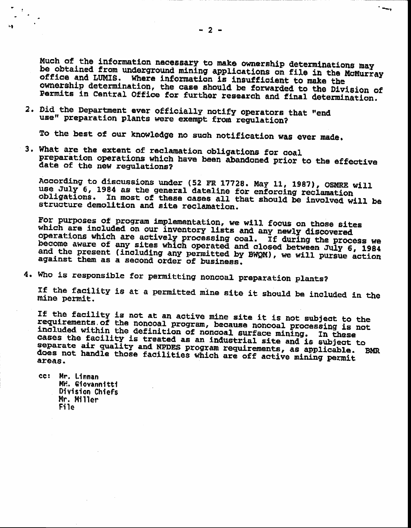Much of the information necessary to make ownership determinations may be obtained from underground mining applications on file in the McMurray office and LUMIS. Where information is insufficient to make the ownership determination, the case should be forwarded to the Division of Permits in Central Office for further research and final determination.

2. Did the Department ever officially notify operators that "end use" preparation plants were exempt from regulation?

To the best of our knowledge no such notification was ever made.

3. What are the extent of reclamation obligations for coal preparation operations which have been abandoned prior to the effective date of the new regulations?

According to discussions under (52 FR 17728. May 11, 1987), OSMRE will use July 6, 1984 as the general dateline for enforcing reclamation In most of these cases all that should be involved will be obligations. structure demolition and site reclamation.

For purposes of program implementation, we will focus on those sites which are included on our inventory lists and any newly discovered operations which are actively processing coal. If during the process we become aware of any sites which operated and closed between July 6, 1984 and the present (including any permitted by BWQM), we will pursue action against them as a second order of business.

4. Who is responsible for permitting noncoal preparation plants?

If the facility is at a permitted mine site it should be included in the mine permit.

If the facility is not at an active mine site it is not subject to the requirements of the noncoal program, because noncoal processing is not<br>included within the definition of noncoal surface mining. In these cases the facility is treated as an industrial site and is subject to separate air quality and NPDES program requirements, as applicable. does not handle those facilities which are off active mining permit **BMR** areas.

cc: Mr. Linnan MY. Giovannitti Division Chiefs Mr. Miller File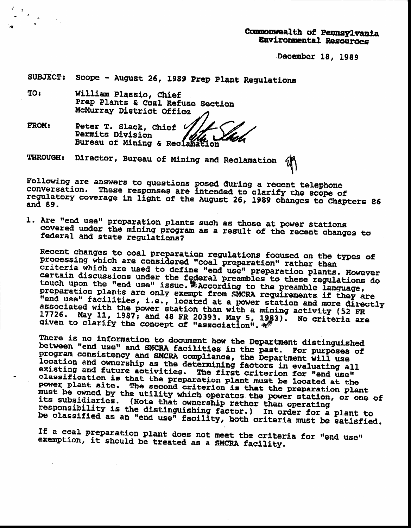# Commonwealth of Pennsylvania Environmental Resources

December 18, 1989

SUBJECT: Scope - August 26, 1989 Prep Plant Regulations

William Plassio, Chief **TO:** Prep Plants & Coal Refuse Section McMurray District Office

FROM: Peter T. Slack, Chief **Permits Division** Bureau of Mining & Reclamation

THROUGH: Director, Bureau of Mining and Reclamation

Following are answers to questions posed during a recent telephone conversation. These responses are intended to clarify the scope of regulatory coverage in light of the August 26, 1989 changes to Chapters 86 and 89.

1. Are "end use" preparation plants such as those at power stations covered under the mining program as a result of the recent changes to federal and state regulations?

Recent changes to coal preparation regulations focused on the types of processing which are considered "coal preparation" rather than criteria which are used to define "end use" preparation plants. However certain discussions under the federal preambles to these regulations do<br>touch upon the "end use" issue. Maccording to the preamble language, preparation plants are only exempt from SMCRA requirements if they are "end use" facilities, i.e., located at a power station and more directly associated with the power station than with a mining activity (52 FR 17726. May 11, 1987; and 48 FR 20393. May 5, 1983). No criteria are given to clarify the concept of "association".

There is no information to document how the Department distinguished between "end use" and SMCRA facilities in the past. For purposes of program consistency and SMCRA compliance, the Department will use location and ownership as the determining factors in evaluating all existing and future activities. The first criterion for "end use" classification is that the preparation plant must be located at the power plant site. The second criterion is that the preparation plant must be owned by the utility which operates the power station, or one of its subsidiaries. (Note that ownership rather than operating responsibility is the distinguishing factor.) In order for a plant to be classified as an "end use" facility, both criteria must be satisfied.

If a coal preparation plant does not meet the criteria for "end use" exemption, it should be treated as a SMCRA facility.